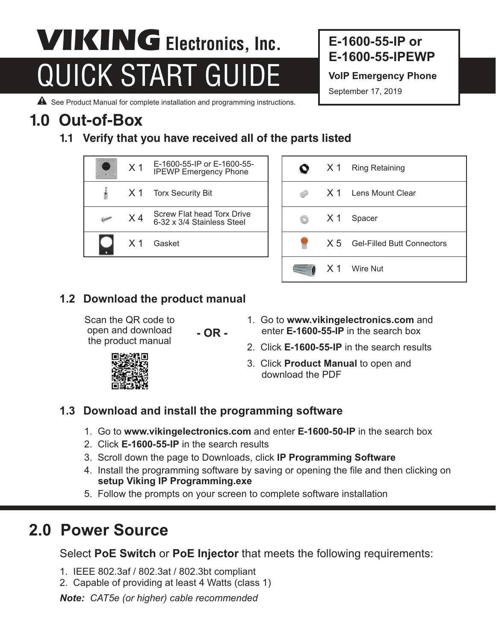# **QUICK START GUIDE** VoIP Emergency Phone **VIKING** Electronics, Inc.

#### **E-1600-55-IP or E-1600-55-IPEWP**

September 17, 2019

A See Product Manual for complete installation and programming instructions.

## **1.0 Out-of-Box**

**1.1 Verify that you have received all of the parts listed**





#### **1.2 Download the product manual**

Scan the QR code to open and download the product manual

**- OR -**

- 1. Go to **www.vikingelectronics.com** and enter **E-1600-55-IP** in the search box
- 2. Click **E-1600-55-IP** in the search results
- 3. Click **Product Manual** to open and download the PDF

#### **1.3 Download and install the programming software**

- 1. Go to **www.vikingelectronics.com** and enter **E-1600-50-IP** in the search box
- 2. Click **E-1600-55-IP** in the search results
- 3. Scroll down the page to Downloads, click **IP Programming Software**
- 4. Install the programming software by saving or opening the file and then clicking on **setup Viking IP Programming.exe**
- 5. Follow the prompts on your screen to complete software installation

## **2.0 Power Source**

Select **PoE Switch** or **PoE Injector** that meets the following requirements:

- 1. IEEE 802.3af / 802.3at / 802.3bt compliant
- 2. Capable of providing at least 4 Watts (class 1)

*Note: CAT5e (or higher) cable recommended*